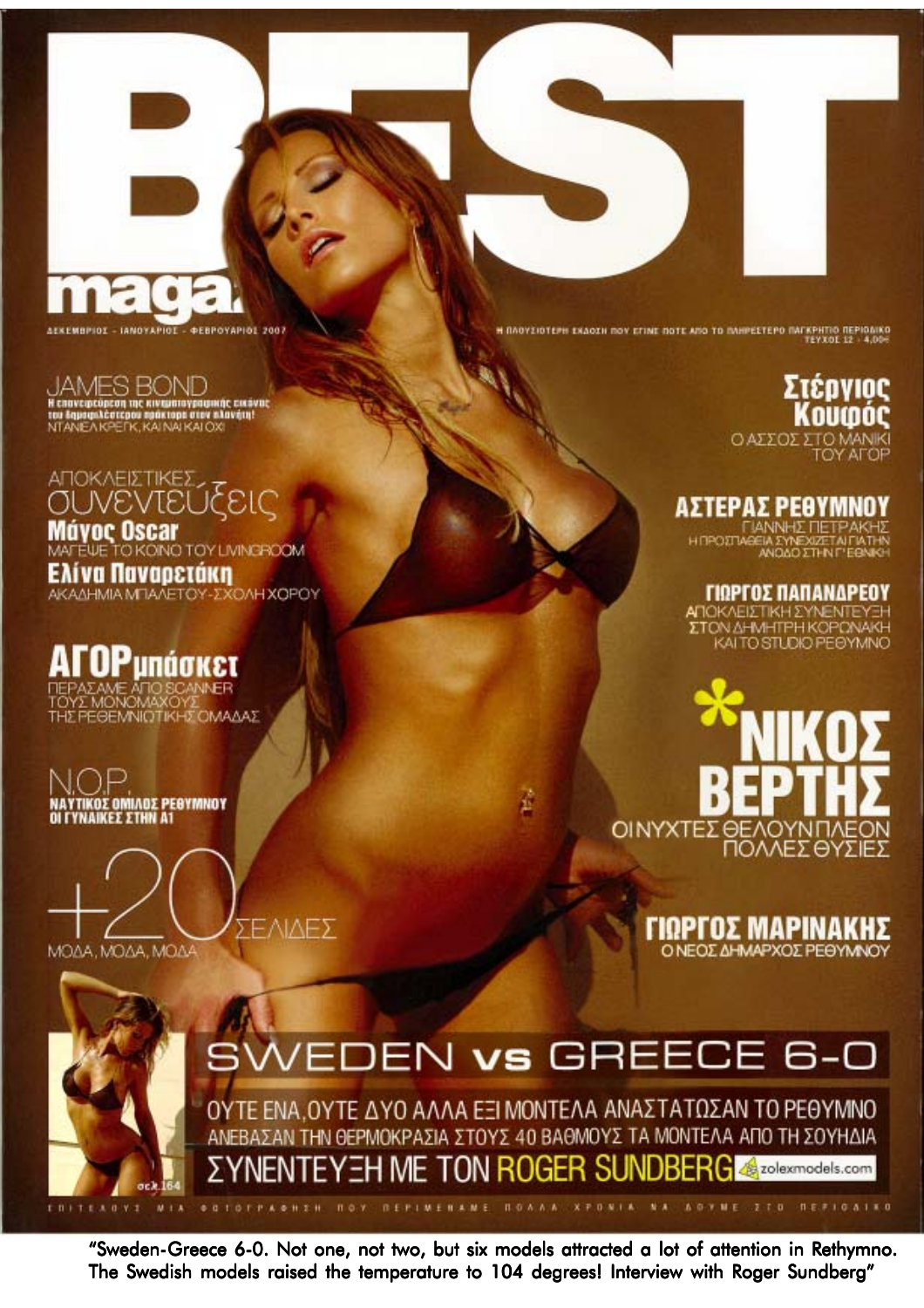**ΦΕΒΡΟΥΑΡΙΟΙ 2007 LEXEMBRIDI - JANOYAPIOT** 

M RADYZIDTEPH EXADEN NOY ETINE NOTE AND TO IMMPEETEPD NATEPHONE H NOTE 2 : 4.006

**JAMES BOND** Η επανεφεύρεση της κινημπτογραμικής εκώνας<br>του δημοφιλέστερου πρόκτορα στον πλανήτη!<br>ΝΤΑΝΙΕΛ ΚΡΕΓΚ, ΚΑΙ ΝΑΙ ΚΑΙ ΟΧΙ

# ATIOKAEIZTIKEZ<br>OUVEVIEUCEIC

**Máyoc Oscar**<br>MAFEWE TO KONO TOY LIVINGROOM

Ελίνα Παναρετάκη ΑΚΑΛΗΜΙΑ ΜΠΑΛΕΤΟΥ-ΣΧΟΛΗ ΧΟΡΟΥ

# **ATOP UNDERVIER**

ΤΗΣ ΡΕΘΕΜΝΙΟΤΙΚΗΣ ΟΜΑΔΑΣ

NAYTIKOE OMIAOE PEOYMNOY<br>OI FYNAIKEE ETHN A1



Στέονιος aurnoc)

O ALLOL LTO MANIK

ΑΣΤΕΡΑΣ ΡΕΘΥΜΝΟΥ ΓΙΑΝΝΗΣ ΠΕΤΡΑΚΗΣ

H POZTABEJA ZYNEXIZETAJ FIATHN

ΓΙΩΡΓΟΣ ΠΑΠΑΝΔΡΕΟΥ

ANOKAEIZTIKH ZYNENTEYEH<br>ZTON AHMHTPH KOPONAKH

# ΟΙΝΥΧΤΕΣ ΘΕΛΟΥ **AYS**

**ΓΙΩΡΓΟΣ ΜΑΡΙΝΑΚΗΣ** 

# SWEDEN vs GREECE 6-0

ΟΥΤΕ ΕΝΑ, ΟΥΤΕ ΔΥΟ ΑΛΛΑ ΕΞΙ ΜΟΝΤΕΛΑ ΑΝΑΣΤΑΤΩΣΑΝ ΤΟ ΡΕΘΥΜΝΟ ΑΝΕΒΑΣΑΝ ΤΗΝ ΘΕΡΜΟΚΡΑΣΙΑ ΣΤΟΥΣ 40 ΒΑΘΜΟΥΣ ΤΑ ΜΟΝΤΕΛΑ ΑΠΟ ΤΗ ΣΟΥΗΔΙΑ **EYNENTEYEH ME TON ROGER SUNDBERG** 

"Sweden-Greece 6-0. Not one, not two, but six models attracted a lot of attention in Rethymno. The Swedish models raised the temperature to 104 degrees! Interview with Roger Sundberg"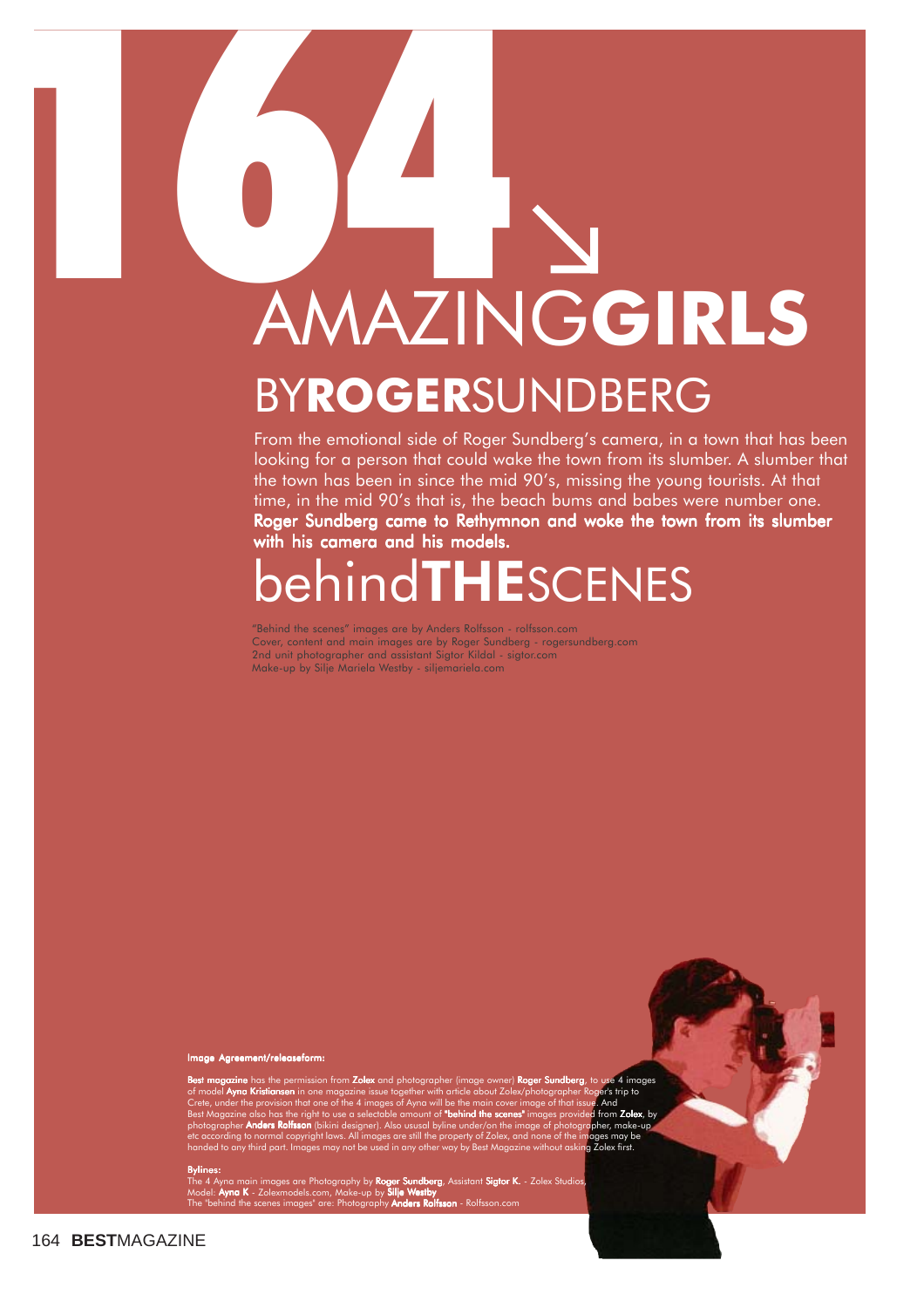# AMAZING**GIRLS** BY**ROGER**SUNDBERG TO COMPANY

From the emotional side of Roger Sundberg's camera, in a town that has been looking for a person that could wake the town from its slumber. A slumber that the town has been in since the mid 90's, missing the young tourists. At that time, in the mid 90's that is, the beach bums and babes were number one. Roger Sundberg came to Rethymnon and woke the town from its slumber with his camera and his models.

# behind**THE**SCENES

"Behind the scenes" images are by Anders Rolfsson - rolfsson.com Cover, content and main images are by Roger Sundberg - rogersundberg.com 2nd unit photographer and assistant Sigtor Kildal - sigtor.com Make-up by Silje Mariela Westby - siljemariela.com

Image Agreement/releaseform:

**Best magazine** has the permission from **Zolex** and photographer (image owner) **Roger Sundberg**, to use 4 images<br>of model **Ayna Kristiansen** in one magazine issue together with ariticle about Zolex/photographer Roger's tri

**Bylines:**<br>The 4 Ayna main images are Photography by **Roger Sundberg**, Assistant **Sigtor K.** - Zolex Studios,<br>Model: **Ayna K** - Zolexmodels.com, Make-up by **Silje Westby**<br>The "behind the scenes images" are: Photography **An**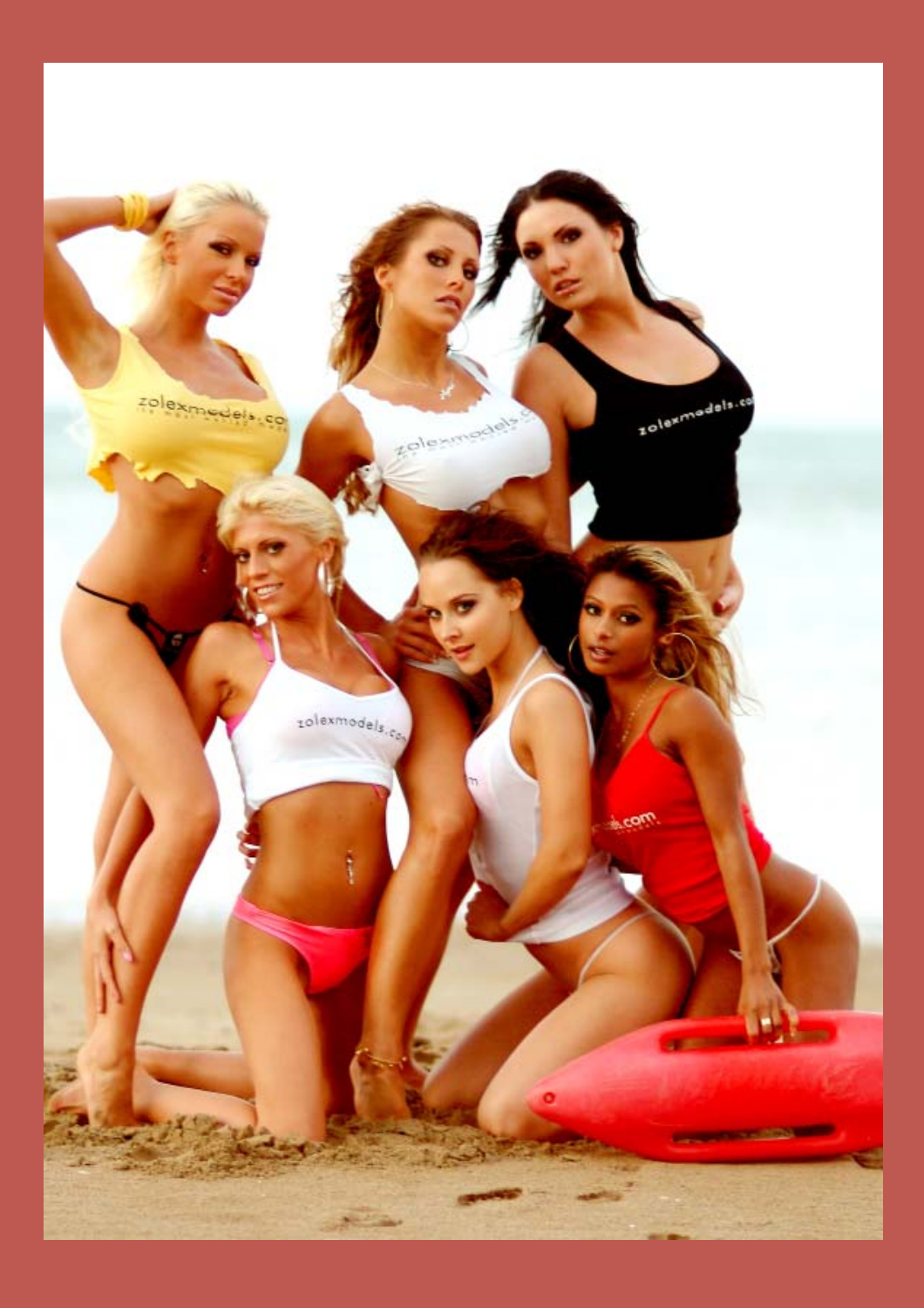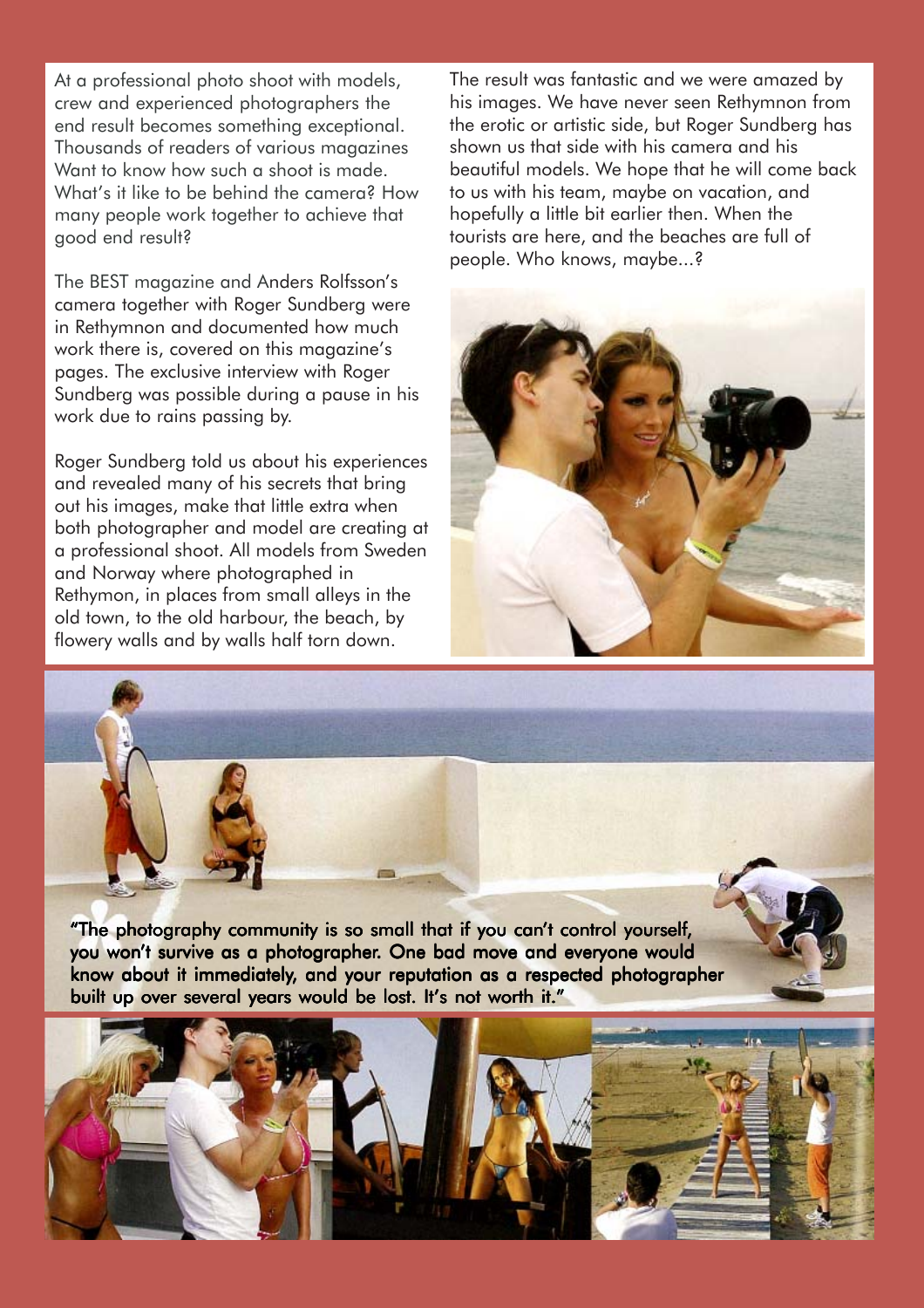At a professional photo shoot with models, crew and experienced photographers the end result becomes something exceptional. Thousands of readers of various magazines Want to know how such a shoot is made. What's it like to be behind the camera? How many people work together to achieve that good end result?

The BEST magazine and Anders Rolfsson's camera together with Roger Sundberg were in Rethymnon and documented how much work there is, covered on this magazine's pages. The exclusive interview with Roger Sundberg was possible during a pause in his work due to rains passing by.

Roger Sundberg told us about his experiences and revealed many of his secrets that bring out his images, make that little extra when both photographer and model are creating at a professional shoot. All models from Sweden and Norway where photographed in Rethymon, in places from small alleys in the old town, to the old harbour, the beach, by flowery walls and by walls half torn down.

The result was fantastic and we were amazed by his images. We have never seen Rethymnon from the erotic or artistic side, but Roger Sundberg has shown us that side with his camera and his beautiful models. We hope that he will come back to us with his team, maybe on vacation, and hopefully a little bit earlier then. When the tourists are here, and the beaches are full of people. Who knows, maybe...?



"The photography community is so small that if you can't control yourself, you won't survive as a photographer. One bad move and everyone would know about it immediately, and your reputation as a respected photographer built up over several years would be lost. It's not worth it."

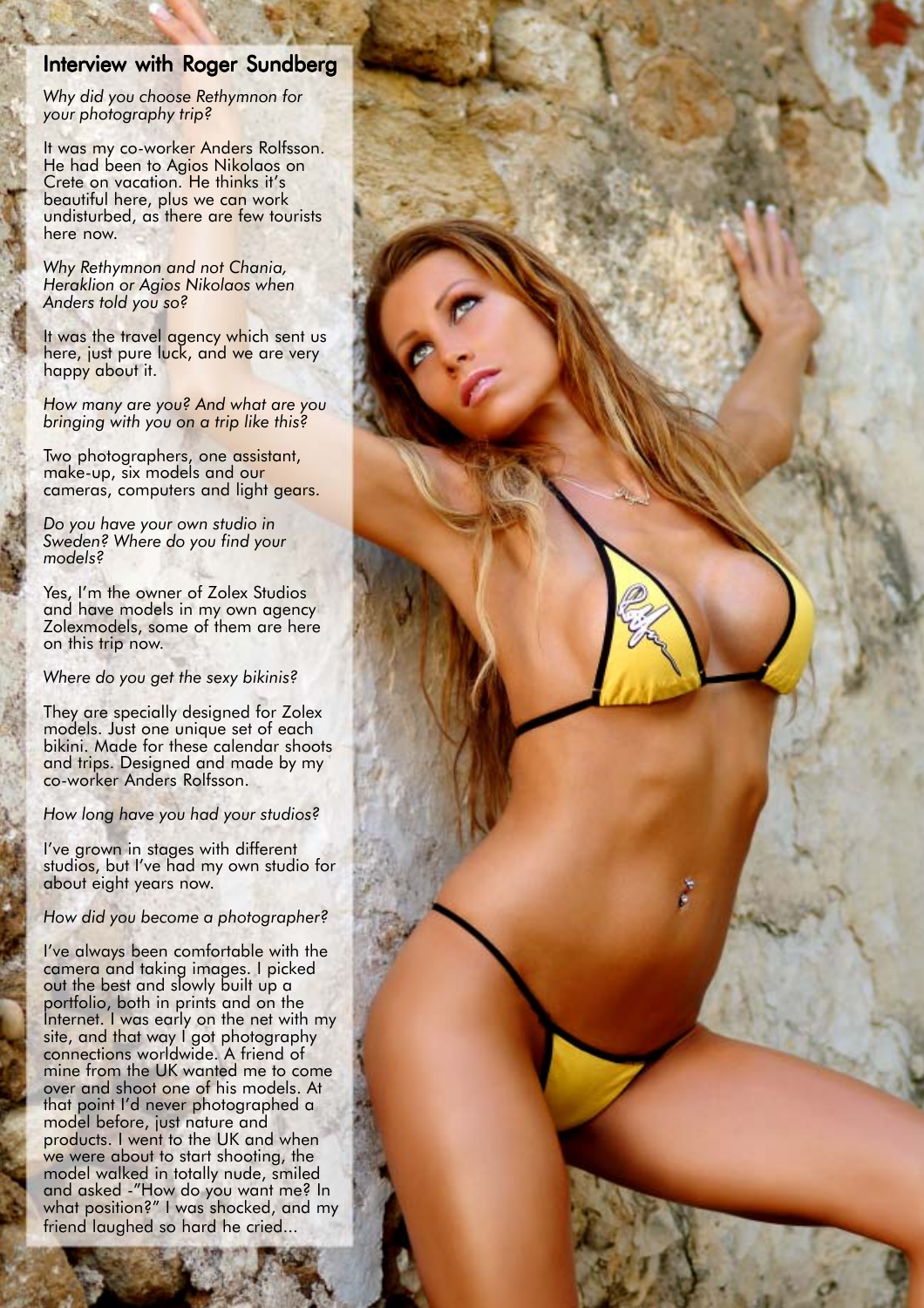### Interview with Roger Sundberg

*Why did you choose Rethymnon for your photography trip?*

It was my co-worker Anders Rolfsson. He had been to Agios Nikolaos on Crete on vacation. He thinks it's beautiful here, plus we can work undisturbed, as there are few tourists here now.

*Why Rethymnon and not Chania, Heraklion or Agios Nikolaos when Anders told you so?*

It was the travel agency which sent us here, just pure luck, and we are very happy about it.

*How many are you? And what are you bringing with you on a trip like this?*

Two photographers, one assistant, make-up, six models and our cameras, computers and light gears.

*Do you have your own studio in Sweden? Where do you find your models?*

Yes, I'm the owner of Zolex Studios and have models in my own agency Zolexmodels, some of them are here on this trip now.

*Where do you get the sexy bikinis?*

They are specially designed for Zolex models. Just one unique set of each bikini. Made for these calendar shoots and trips. Designed and made by my co-worker Anders Rolfsson.

*How long have you had your studios?*

I've grown in stages with different studios, but I've had my own studio for about eight years now.

*How did you become a photographer?*

I've always been comfortable with the camera and taking images. I picked out the best and slowly built up a portfolio, both in prints and on the Internet. I was early on the net with my site, and that way I got photography connections worldwide. A friend of mine from the UK wanted me to come over and shoot one of his models. At that point I'd never photographed a model before, just nature and products. I went to the UK and when we were about to start shooting, the model walked in totally nude, smiled and asked -"How do you want me? In what position?" I was shocked, and my friend laughed so hard he cried...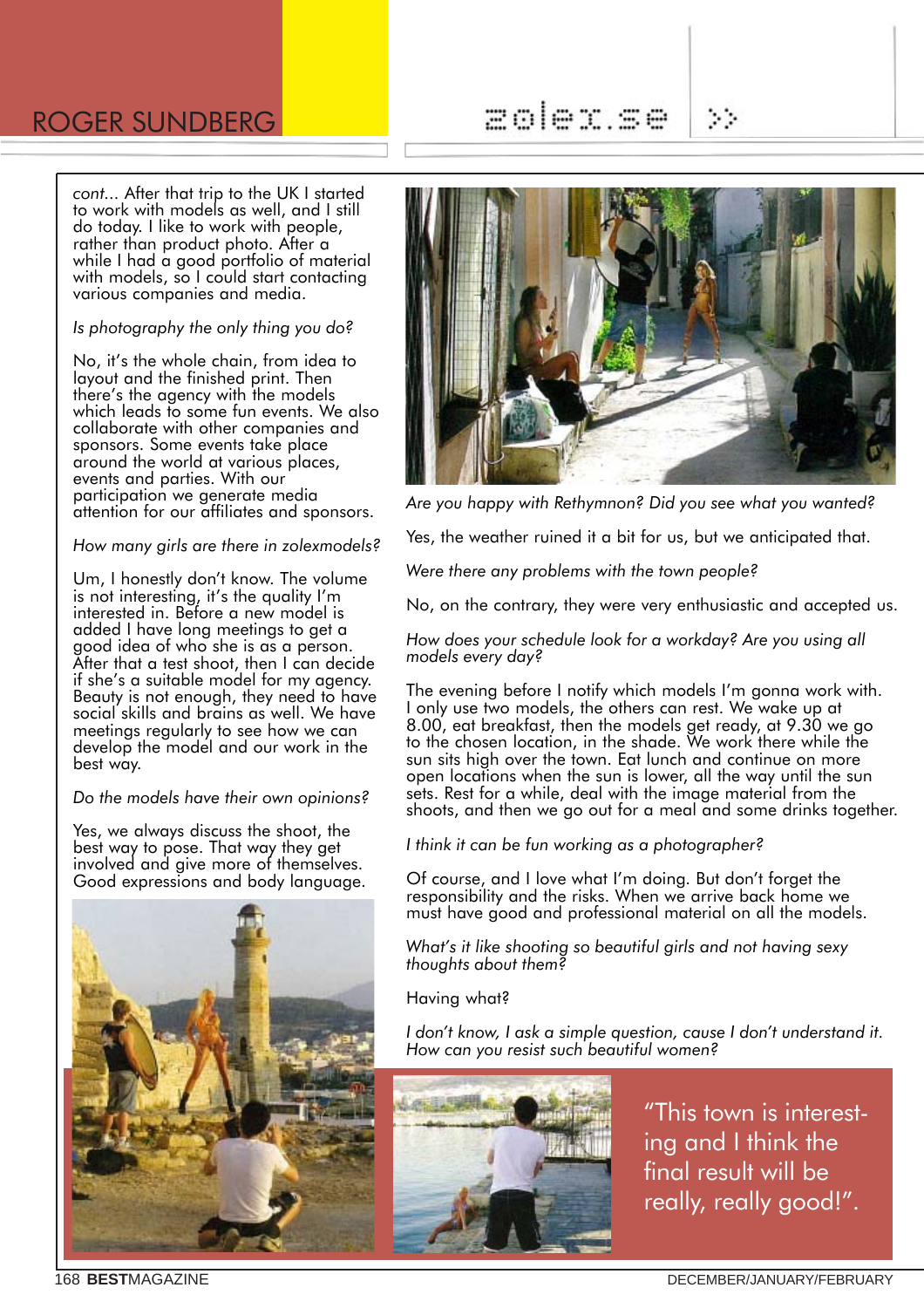## ROGER SUNDBERG

# zolex.se

 $\sim$ 

*cont...* After that trip to the UK I started to work with models as well, and I still do today. I like to work with people, rather than product photo. After a while I had a good portfolio of material with models, so I could start contacting various companies and media.

#### *Is photography the only thing you do?*

No, it's the whole chain, from idea to layout and the finished print. Then there's the agency with the models which leads to some fun events. We also collaborate with other companies and sponsors. Some events take place around the world at various places, events and parties. With our participation we generate media attention for our affiliates and sponsors.

*How many girls are there in zolexmodels?*

Um, I honestly don't know. The volume is not interesting, it's the quality I'm interested in. Before a new model is added I have long meetings to get a good idea of who she is as a person. After that a test shoot, then I can decide if she's a suitable model for my agency. Beauty is not enough, they need to have social skills and brains as well. We have meetings regularly to see how we can develop the model and our work in the best way.

#### *Do the models have their own opinions?*

Yes, we always discuss the shoot, the best way to pose. That way they get involved and give more of themselves. Good expressions and body language.





*Are you happy with Rethymnon? Did you see what you wanted?*

Yes, the weather ruined it a bit for us, but we anticipated that.

*Were there any problems with the town people?*

No, on the contrary, they were very enthusiastic and accepted us.

*How does your schedule look for a workday? Are you using all models every day?*

The evening before I notify which models I'm gonna work with. I only use two models, the others can rest. We wake up at 8.00, eat breakfast, then the models get ready, at 9.30 we go to the chosen location, in the shade. We work there while the sun sits high over the town. Eat lunch and continue on more open locations when the sun is lower, all the way until the sun sets. Rest for a while, deal with the image material from the shoots, and then we go out for a meal and some drinks together.

*I think it can be fun working as a photographer?*

Of course, and I love what I'm doing. But don't forget the responsibility and the risks. When we arrive back home we must have good and professional material on all the models.

*What's it like shooting so beautiful girls and not having sexy thoughts about them?*

#### Having what?

*I don't know, I ask a simple question, cause I don't understand it. How can you resist such beautiful women?*



"This town is interesting and I think the final result will be really, really good!".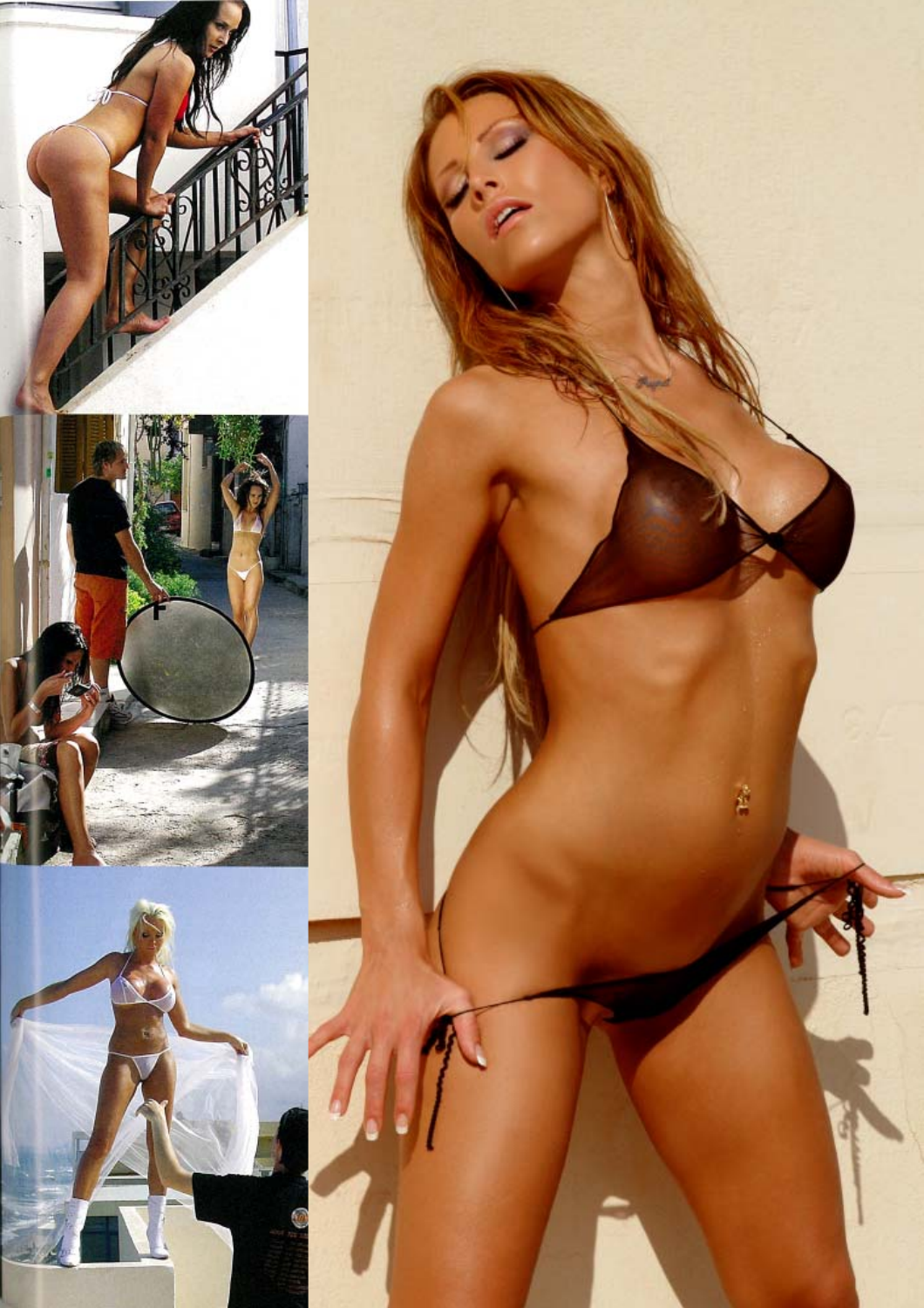